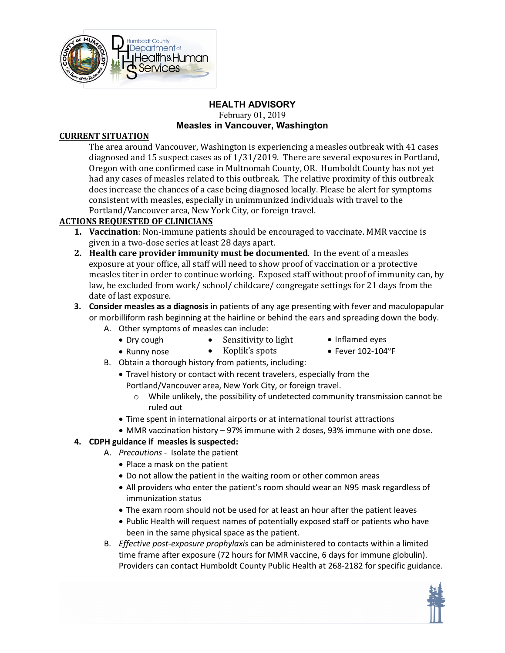

#### **HEALTH ADVISORY**  February 01, 2019 **Measles in Vancouver, Washington**

### **CURRENT SITUATION**

 The area around Vancouver, Washington is experiencing a measles outbreak with 41 cases consistent with measles, especially in unimmunized individuals with travel to the diagnosed and 15 suspect cases as of 1/31/2019. There are several exposures in Portland, Oregon with one confirmed case in Multnomah County, OR. Humboldt County has not yet had any cases of measles related to this outbreak. The relative proximity of this outbreak does increase the chances of a case being diagnosed locally. Please be alert for symptoms Portland/Vancouver area, New York City, or foreign travel.

## **ACTIONS REQUESTED OF CLINICIANS**

- **1. Vaccination**: Non-immune patients should be encouraged to vaccinate. MMR vaccine is given in a two-dose series at least 28 days apart.
- **2. Health care provider immunity must be documented**. In the event of a measles exposure at your office, all staff will need to show proof of vaccination or a protective measles titer in order to continue working. Exposed staff without proof of immunity can, by law, be excluded from work/ school/ childcare/ congregate settings for 21 days from the date of last exposure.
- **3. Consider measles as a diagnosis** in patients of any age presenting with fever and maculopapular or morbilliform rash beginning at the hairline or behind the ears and spreading down the body.
	- A. Other symptoms of measles can include:
		- Dry cough Sensitivity to light Inflamed eyes
			-
		- Runny nose Koplik's spots • Fever 102-104°F
- - B. Obtain a thorough history from patients, including:
		- Travel history or contact with recent travelers, especially from the Portland/Vancouver area, New York City, or foreign travel.
			- o While unlikely, the possibility of undetected community transmission cannot be ruled out
		- Time spent in international airports or at international tourist attractions
		- MMR vaccination history 97% immune with 2 doses, 93% immune with one dose.

## **4. CDPH guidance if measles is suspected:**

- A. *Precautions*  Isolate the patient
	- Place a mask on the patient
	- Do not allow the patient in the waiting room or other common areas
	- All providers who enter the patient's room should wear an N95 mask regardless of immunization status
	- The exam room should not be used for at least an hour after the patient leaves
	- Public Health will request names of potentially exposed staff or patients who have been in the same physical space as the patient.
- B. *Effective post-exposure prophylaxis* can be administered to contacts within a limited time frame after exposure (72 hours for MMR vaccine, 6 days for immune globulin). Providers can contact Humboldt County Public Health at 268-2182 for specific guidance.

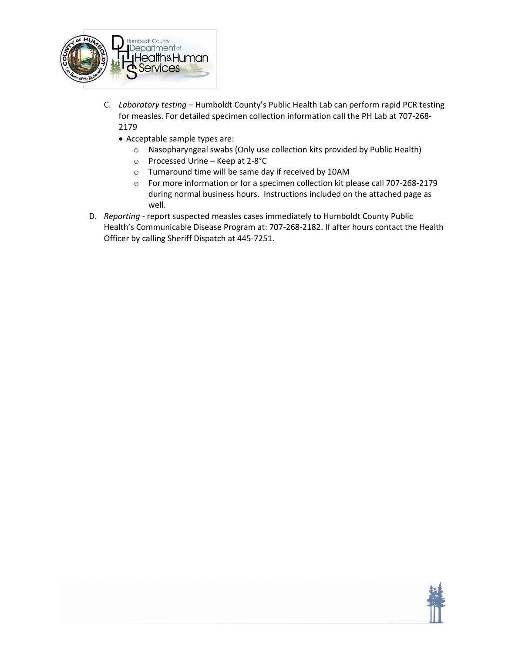

- C. *Laboratory testing*  Humboldt County's Public Health Lab can perform rapid PCR testing for measles. For detailed specimen collection information call the PH Lab at 707-268- 2179
	- Acceptable sample types are:
		- o Nasopharyngeal swabs (Only use collection kits provided by Public Health)
		- o Processed Urine Keep at 2-8°C
		- o Turnaround time will be same day if received by 10AM
		- o For more information or for a specimen collection kit please call 707-268-2179 during normal business hours. Instructions included on the attached page as well.
- D. *Reporting*  report suspected measles cases immediately to Humboldt County Public Health's Communicable Disease Program at: 707-268-2182. If after hours contact the Health Officer by calling Sheriff Dispatch at 445-7251.